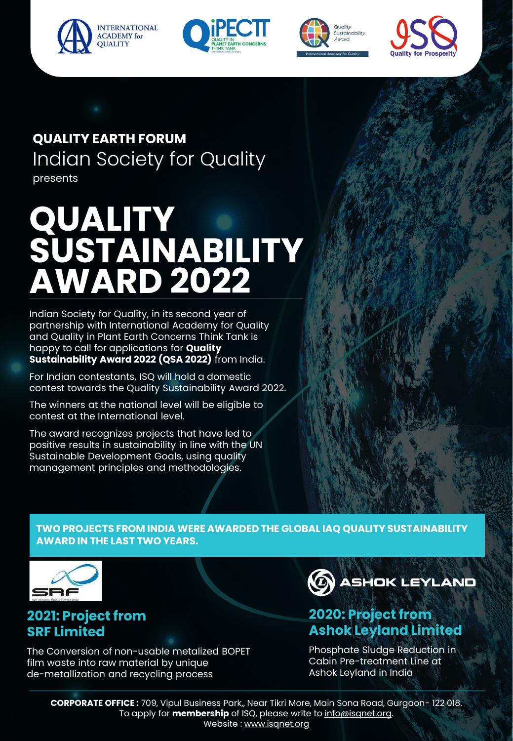







### Indian Society for Quality **QUALITY EARTH FORUM** presents

# **QUALITY SUSTAINABILITY AWARD 2022**

Indian Society for Quality, in its second year of partnership with International Academy for Quality and Quality in Plant Earth Concerns Think Tank is happy to call for applications for **Quality Sustainability Award 2022 (QSA 2022)** from India.

For Indian contestants, ISQ will hold a domestic contest towards the Quality Sustainability Award 2022.

The winners at the national level will be eligible to contest at the International level.

The award recognizes projects that have led to positive results in sustainability in line with the UN Sustainable Development Goals, using quality management principles and methodologies.

**TWO PROJECTS FROM INDIA WERE AWARDED THE GLOBAL IAQ QUALITY SUSTAINABILITY AWARD IN THE LAST TWO YEARS.** 



### **2021: Project from SRF Limited**

The Conversion of non-usable metalized BOPET film waste into raw material by unique de-metallization and recycling process



### **2020: Project from Ashok Leyland Limited**

Phosphate Sludge Reduction in Cabin Pre-treatment Line at Ashok Leyland in India

**CORPORATE OFFICE :** 709, Vipul Business Park,, Near Tikri More, Main Sona Road, Gurgaon- 122 018. To apply for **membership** of ISQ, please write to **info**@isqnet.org. Website : www.isqnet.org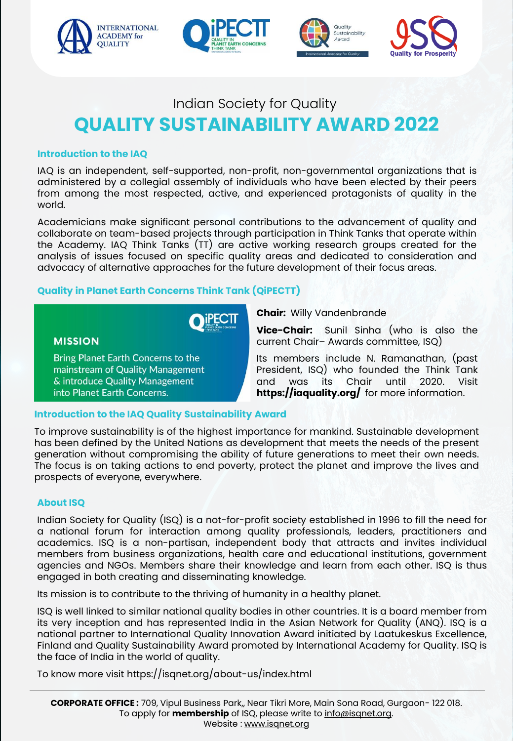







#### **Introduction to the IAQ**

IAQ is an independent, self-supported, non-profit, non-governmental organizations that is administered by a collegial assembly of individuals who have been elected by their peers from among the most respected, active, and experienced protagonists of quality in the world.

Academicians make significant personal contributions to the advancement of quality and collaborate on team-based projects through participation in Think Tanks that operate within the Academy. IAQ Think Tanks (TT) are active working research groups created for the analysis of issues focused on specific quality areas and dedicated to consideration and advocacy of alternative approaches for the future development of their focus areas.

### **Quality in Planet Earth Concerns Think Tank (QiPECTT)**



**MISSION** 

Bring Planet Earth Concerns to the mainstream of Quality Management & introduce Quality Management into Planet Earth Concerns.

**Chair:** Willy Vandenbrande

**Vice-Chair:** Sunil Sinha (who is also the current Chair– Awards committee, ISQ)

President, ISQ) who founded the Think Tank Its members include N. Ramanathan, (past and was its Chair until 2020. Visit **https://iaquality.org/** for more information.

### **Introduction to the IAQ Quality Sustainability Award**

To improve sustainability is of the highest importance for mankind. Sustainable development has been defined by the United Nations as development that meets the needs of the present generation without compromising the ability of future generations to meet their own needs. The focus is on taking actions to end poverty, protect the planet and improve the lives and prospects of everyone, everywhere.

#### **About ISQ**

Indian Society for Quality (ISQ) is a not-for-profit society established in 1996 to fill the need for a national forum for interaction among quality professionals, leaders, practitioners and academics. ISQ is a non-partisan, independent body that attracts and invites individual members from business organizations, health care and educational institutions, government agencies and NGOs. Members share their knowledge and learn from each other. ISQ is thus engaged in both creating and disseminating knowledge.

Its mission is to contribute to the thriving of humanity in a healthy planet.

ISQ is well linked to similar national quality bodies in other countries. It is a board member from its very inception and has represented India in the Asian Network for Quality (ANQ). ISQ is a national partner to International Quality Innovation Award initiated by Laatukeskus Excellence, Finland and Quality Sustainability Award promoted by International Academy for Quality. ISQ is the face of India in the world of quality.

To know more visit https://isqnet.org/about-us/index.html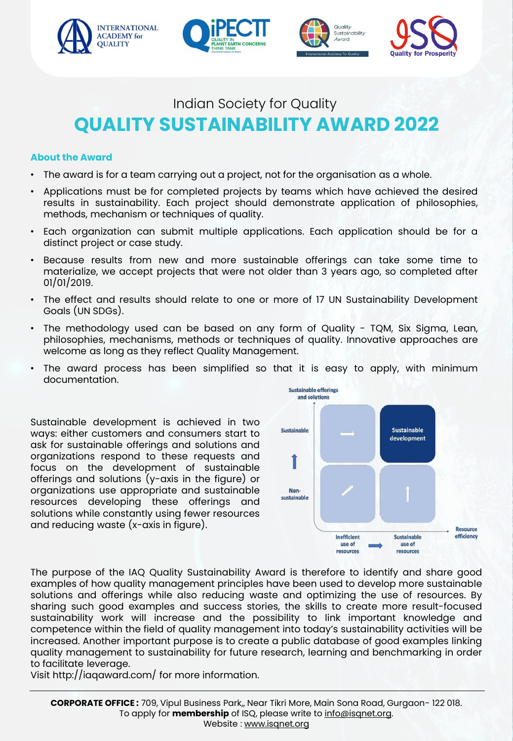







#### **About the Award**

- The award is for a team carrying out a project, not for the organisation as a whole.
- Applications must be for completed projects by teams which have achieved the desired results in sustainability. Each project should demonstrate application of philosophies, methods, mechanism or techniques of quality.
- Each organization can submit multiple applications. Each application should be for a distinct project or case study.
- Because results from new and more sustainable offerings can take some time to materialize, we accept projects that were not older than 3 years ago, so completed after 01/01/2019.
- The effect and results should relate to one or more of 17 UN Sustainability Development Goals (UN SDGs).
- The methodology used can be based on any form of Quality TQM, Six Sigma, Lean, philosophies, mechanisms, methods or techniques of quality. Innovative approaches are welcome as long as they reflect Quality Management.
- The award process has been simplified so that it is easy to apply, with minimum documentation.

Sustainable development is achieved in two ways: either customers and consumers start to ask for sustainable offerings and solutions and organizations respond to these requests and focus on the development of sustainable offerings and solutions (y-axis in the figure) or organizations use appropriate and sustainable resources developing these offerings and solutions while constantly using fewer resources and reducing waste (x-axis in figure).



The purpose of the IAQ Quality Sustainability Award is therefore to identify and share good examples of how quality management principles have been used to develop more sustainable solutions and offerings while also reducing waste and optimizing the use of resources. By sharing such good examples and success stories, the skills to create more result-focused sustainability work will increase and the possibility to link important knowledge and competence within the field of quality management into today's sustainability activities will be increased. Another important purpose is to create a public database of good examples linking quality management to sustainability for future research, learning and benchmarking in order to facilitate leverage.

Visit http://iaqaward.com/ for more information.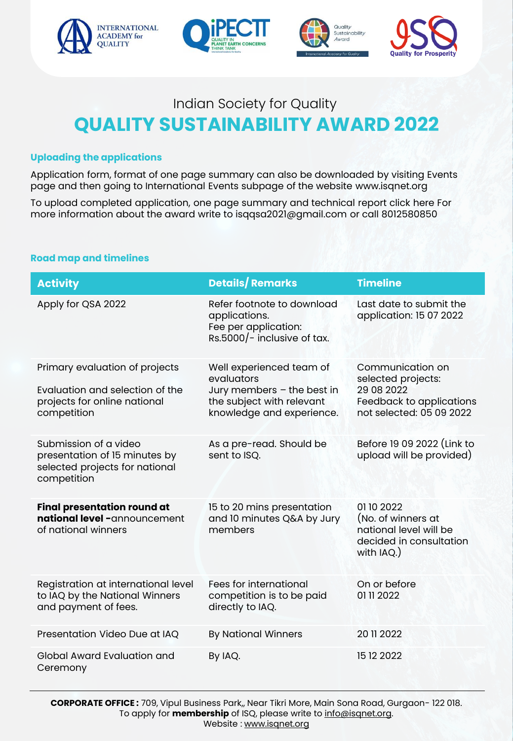







### **Uploading the applications**

Application form, format of one page summary can also be downloaded by visiting Events page and then going to International Events subpage of the website www.isqnet.org

To upload completed application, one page summary and technical report click here For more information about the award write to isqqsa2021@gmail.com or call 8012580850

#### **Road map and timelines**

| <b>Activity</b>                                                                                                  | <b>Details/Remarks</b>                                                                                                         | Timeline                                                                                                     |
|------------------------------------------------------------------------------------------------------------------|--------------------------------------------------------------------------------------------------------------------------------|--------------------------------------------------------------------------------------------------------------|
| Apply for QSA 2022                                                                                               | Refer footnote to download<br>applications.<br>Fee per application:<br>$Rs.5000/-$ inclusive of tax.                           | Last date to submit the<br>application: 15 07 2022                                                           |
| Primary evaluation of projects<br>Evaluation and selection of the<br>projects for online national<br>competition | Well experienced team of<br>evaluators<br>Jury members - the best in<br>the subject with relevant<br>knowledge and experience. | Communication on<br>selected projects:<br>29 08 2022<br>Feedback to applications<br>not selected: 05 09 2022 |
| Submission of a video<br>presentation of 15 minutes by<br>selected projects for national<br>competition          | As a pre-read. Should be<br>sent to ISQ.                                                                                       | Before 19 09 2022 (Link to<br>upload will be provided)                                                       |
| <b>Final presentation round at</b><br>national level -announcement<br>of national winners                        | 15 to 20 mins presentation<br>and 10 minutes Q&A by Jury<br>members                                                            | 01102022<br>(No. of winners at<br>national level will be<br>decided in consultation<br>with IAQ.)            |
| Registration at international level<br>to IAQ by the National Winners<br>and payment of fees.                    | Fees for international<br>competition is to be paid<br>directly to IAQ.                                                        | On or before<br>01 11 2022                                                                                   |
| Presentation Video Due at IAQ                                                                                    | <b>By National Winners</b>                                                                                                     | 20 11 2022                                                                                                   |
| Global Award Evaluation and<br>Ceremony                                                                          | By IAQ.                                                                                                                        | 15 12 2022                                                                                                   |

**CORPORATE OFFICE :** 709, Vipul Business Park,, Near Tikri More, Main Sona Road, Gurgaon- 122 018. To apply for **membership** of ISQ, please write to info@isqnet.org. Website : www.isqnet.org